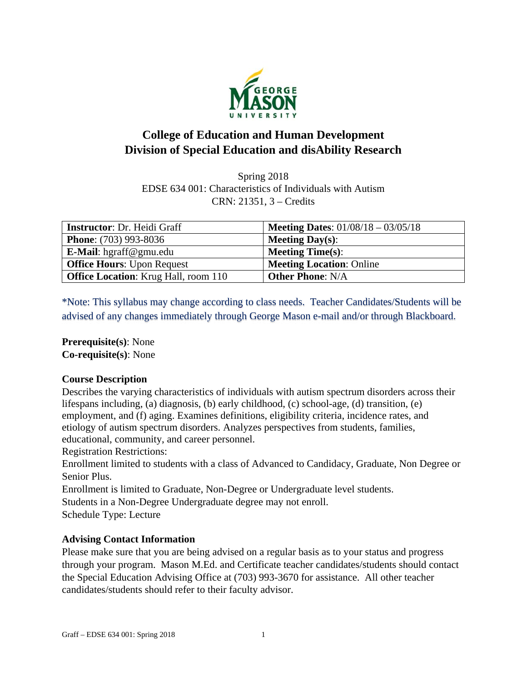

# **College of Education and Human Development Division of Special Education and disAbility Research**

Spring 2018 EDSE 634 001: Characteristics of Individuals with Autism CRN: 21351, 3 – Credits

| <b>Instructor: Dr. Heidi Graff</b>          | <b>Meeting Dates:</b> $01/08/18 - 03/05/18$ |
|---------------------------------------------|---------------------------------------------|
| <b>Phone:</b> (703) 993-8036                | <b>Meeting Day(s):</b>                      |
| <b>E-Mail</b> : hgraff@gmu.edu              | <b>Meeting Time(s):</b>                     |
| <b>Office Hours: Upon Request</b>           | <b>Meeting Location: Online</b>             |
| <b>Office Location:</b> Krug Hall, room 110 | <b>Other Phone: N/A</b>                     |

\*Note: This syllabus may change according to class needs. Teacher Candidates/Students will be advised of any changes immediately through George Mason e-mail and/or through Blackboard.

**Prerequisite(s)**: None **Co-requisite(s)**: None

## **Course Description**

Describes the varying characteristics of individuals with autism spectrum disorders across their lifespans including, (a) diagnosis, (b) early childhood, (c) school-age, (d) transition, (e) employment, and (f) aging. Examines definitions, eligibility criteria, incidence rates, and etiology of autism spectrum disorders. Analyzes perspectives from students, families, educational, community, and career personnel.

Registration Restrictions:

Enrollment limited to students with a class of Advanced to Candidacy, Graduate, Non Degree or Senior Plus.

Enrollment is limited to Graduate, Non-Degree or Undergraduate level students.

Students in a Non-Degree Undergraduate degree may not enroll.

Schedule Type: Lecture

## **Advising Contact Information**

Please make sure that you are being advised on a regular basis as to your status and progress through your program. Mason M.Ed. and Certificate teacher candidates/students should contact the Special Education Advising Office at (703) 993-3670 for assistance. All other teacher candidates/students should refer to their faculty advisor.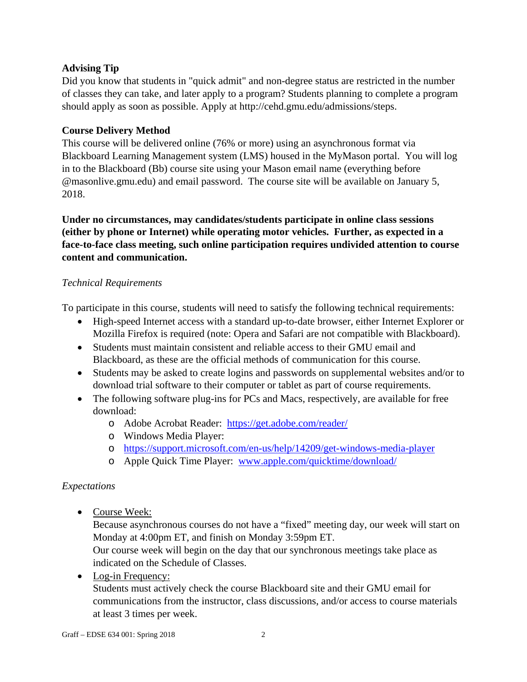## **Advising Tip**

Did you know that students in "quick admit" and non-degree status are restricted in the number of classes they can take, and later apply to a program? Students planning to complete a program should apply as soon as possible. Apply at http://cehd.gmu.edu/admissions/steps.

## **Course Delivery Method**

This course will be delivered online (76% or more) using an asynchronous format via Blackboard Learning Management system (LMS) housed in the MyMason portal. You will log in to the Blackboard (Bb) course site using your Mason email name (everything before @masonlive.gmu.edu) and email password. The course site will be available on January 5, 2018.

## **Under no circumstances, may candidates/students participate in online class sessions (either by phone or Internet) while operating motor vehicles. Further, as expected in a face-to-face class meeting, such online participation requires undivided attention to course content and communication.**

## *Technical Requirements*

To participate in this course, students will need to satisfy the following technical requirements:

- High-speed Internet access with a standard up-to-date browser, either Internet Explorer or Mozilla Firefox is required (note: Opera and Safari are not compatible with Blackboard).
- Students must maintain consistent and reliable access to their GMU email and Blackboard, as these are the official methods of communication for this course.
- Students may be asked to create logins and passwords on supplemental websites and/or to download trial software to their computer or tablet as part of course requirements.
- The following software plug-ins for PCs and Macs, respectively, are available for free download:
	- o Adobe Acrobat Reader: https://get.adobe.com/reader/
		- o Windows Media Player:
		- o https://support.microsoft.com/en-us/help/14209/get-windows-media-player
	- o Apple Quick Time Player: www.apple.com/quicktime/download/

## *Expectations*

• Course Week:

Because asynchronous courses do not have a "fixed" meeting day, our week will start on Monday at 4:00pm ET, and finish on Monday 3:59pm ET.

Our course week will begin on the day that our synchronous meetings take place as indicated on the Schedule of Classes.

• Log-in Frequency:

Students must actively check the course Blackboard site and their GMU email for communications from the instructor, class discussions, and/or access to course materials at least 3 times per week.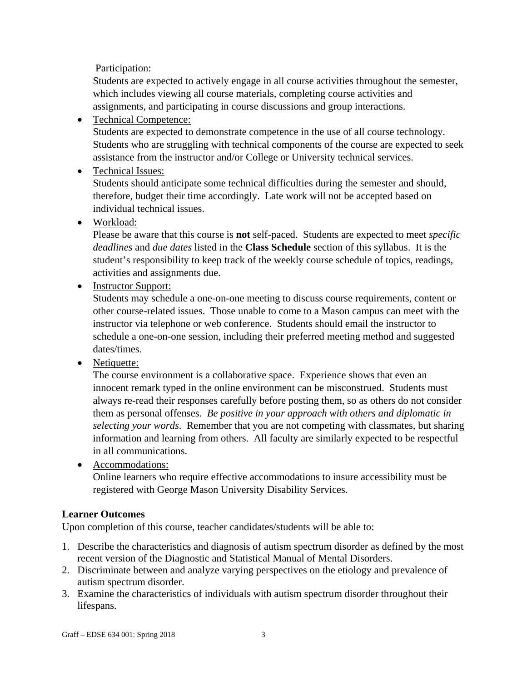Participation:

Students are expected to actively engage in all course activities throughout the semester, which includes viewing all course materials, completing course activities and assignments, and participating in course discussions and group interactions.

Technical Competence:

Students are expected to demonstrate competence in the use of all course technology. Students who are struggling with technical components of the course are expected to seek assistance from the instructor and/or College or University technical services.

• Technical Issues:

Students should anticipate some technical difficulties during the semester and should, therefore, budget their time accordingly. Late work will not be accepted based on individual technical issues.

Workload:

Please be aware that this course is **not** self-paced. Students are expected to meet *specific deadlines* and *due dates* listed in the **Class Schedule** section of this syllabus. It is the student's responsibility to keep track of the weekly course schedule of topics, readings, activities and assignments due.

• Instructor Support:

Students may schedule a one-on-one meeting to discuss course requirements, content or other course-related issues. Those unable to come to a Mason campus can meet with the instructor via telephone or web conference. Students should email the instructor to schedule a one-on-one session, including their preferred meeting method and suggested dates/times.

• Netiquette:

The course environment is a collaborative space. Experience shows that even an innocent remark typed in the online environment can be misconstrued. Students must always re-read their responses carefully before posting them, so as others do not consider them as personal offenses. *Be positive in your approach with others and diplomatic in selecting your words*. Remember that you are not competing with classmates, but sharing information and learning from others. All faculty are similarly expected to be respectful in all communications.

• Accommodations:

Online learners who require effective accommodations to insure accessibility must be registered with George Mason University Disability Services.

## **Learner Outcomes**

Upon completion of this course, teacher candidates/students will be able to:

- 1. Describe the characteristics and diagnosis of autism spectrum disorder as defined by the most recent version of the Diagnostic and Statistical Manual of Mental Disorders.
- 2. Discriminate between and analyze varying perspectives on the etiology and prevalence of autism spectrum disorder.
- 3. Examine the characteristics of individuals with autism spectrum disorder throughout their lifespans.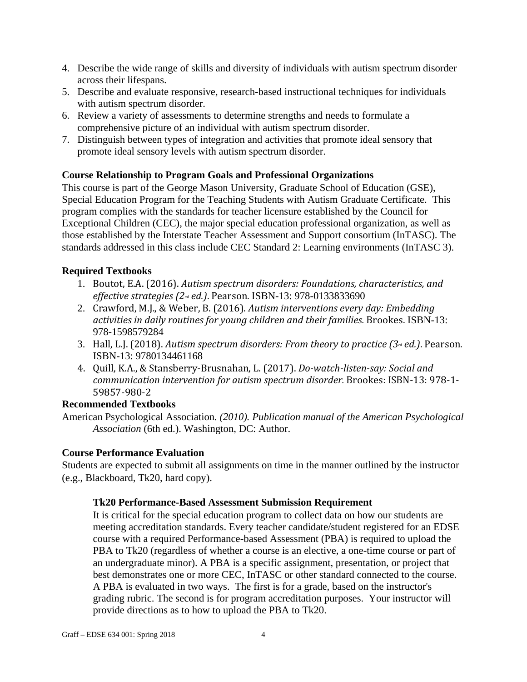- 4. Describe the wide range of skills and diversity of individuals with autism spectrum disorder across their lifespans.
- 5. Describe and evaluate responsive, research-based instructional techniques for individuals with autism spectrum disorder.
- 6. Review a variety of assessments to determine strengths and needs to formulate a comprehensive picture of an individual with autism spectrum disorder.
- 7. Distinguish between types of integration and activities that promote ideal sensory that promote ideal sensory levels with autism spectrum disorder.

## **Course Relationship to Program Goals and Professional Organizations**

This course is part of the George Mason University, Graduate School of Education (GSE), Special Education Program for the Teaching Students with Autism Graduate Certificate. This program complies with the standards for teacher licensure established by the Council for Exceptional Children (CEC), the major special education professional organization, as well as those established by the Interstate Teacher Assessment and Support consortium (InTASC). The standards addressed in this class include CEC Standard 2: Learning environments (InTASC 3).

## **Required Textbooks**

- 1. Boutot, E.A. (2016). *Autism spectrum disorders: Foundations, characteristics, and effective strategies (2nd ed.)*. Pearson. ISBN-13: 978-0133833690
- 2. Crawford, M.J., & Weber, B. (2016). Autism *interventions every day: Embedding activities in daily routines for young children and their families.* Brookes. ISBN-13: 978-1598579284
- 3. Hall, L.J. (2018). Autism *spectrum disorders: From theory to practice (3<sup>rd</sup> ed.)*. Pearson. ISBN-13: 9780134461168
- 4. Quill, K.A., & Stansberry‐Brusnahan, L. (2017). *Do‐watch‐listen‐say: Social and communication intervention for autism spectrum disorder.* Brookes: ISBN‐13: 978‐1‐ 59857‐980‐2

## **Recommended Textbooks**

American Psychological Association*. (2010). Publication manual of the American Psychological Association* (6th ed.). Washington, DC: Author.

## **Course Performance Evaluation**

Students are expected to submit all assignments on time in the manner outlined by the instructor (e.g., Blackboard, Tk20, hard copy).

## **Tk20 Performance-Based Assessment Submission Requirement**

It is critical for the special education program to collect data on how our students are meeting accreditation standards. Every teacher candidate/student registered for an EDSE course with a required Performance-based Assessment (PBA) is required to upload the PBA to Tk20 (regardless of whether a course is an elective, a one-time course or part of an undergraduate minor). A PBA is a specific assignment, presentation, or project that best demonstrates one or more CEC, InTASC or other standard connected to the course. A PBA is evaluated in two ways. The first is for a grade, based on the instructor's grading rubric. The second is for program accreditation purposes. Your instructor will provide directions as to how to upload the PBA to Tk20.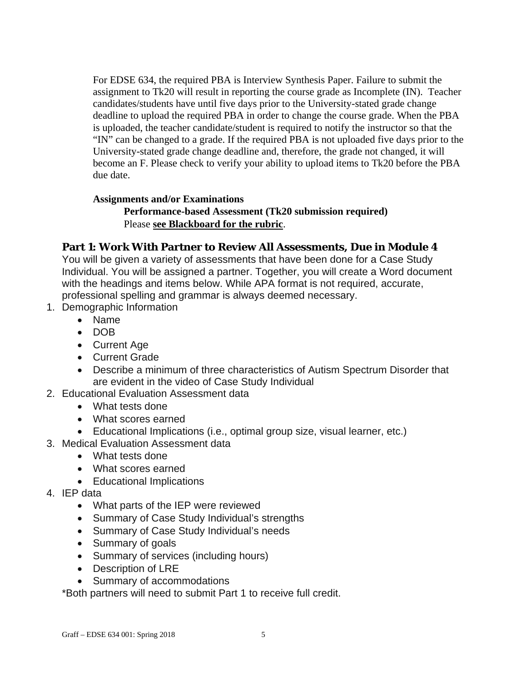For EDSE 634, the required PBA is Interview Synthesis Paper. Failure to submit the assignment to Tk20 will result in reporting the course grade as Incomplete (IN). Teacher candidates/students have until five days prior to the University-stated grade change deadline to upload the required PBA in order to change the course grade. When the PBA is uploaded, the teacher candidate/student is required to notify the instructor so that the "IN" can be changed to a grade. If the required PBA is not uploaded five days prior to the University-stated grade change deadline and, therefore, the grade not changed, it will become an F. Please check to verify your ability to upload items to Tk20 before the PBA due date.

#### **Assignments and/or Examinations**

**Performance-based Assessment (Tk20 submission required)**  Please **see Blackboard for the rubric**.

## **Part 1: Work With Partner to Review All Assessments, Due in Module 4**

You will be given a variety of assessments that have been done for a Case Study Individual. You will be assigned a partner. Together, you will create a Word document with the headings and items below. While APA format is not required, accurate, professional spelling and grammar is always deemed necessary.

- 1. Demographic Information
	- Name
	- DOB
	- Current Age
	- Current Grade
	- Describe a minimum of three characteristics of Autism Spectrum Disorder that are evident in the video of Case Study Individual
- 2. Educational Evaluation Assessment data
	- What tests done
	- What scores earned
	- Educational Implications (i.e., optimal group size, visual learner, etc.)
- 3. Medical Evaluation Assessment data
	- What tests done
	- What scores earned
	- Educational Implications
- 4. IEP data
	- What parts of the IEP were reviewed
	- Summary of Case Study Individual's strengths
	- Summary of Case Study Individual's needs
	- Summary of goals
	- Summary of services (including hours)
	- Description of LRE
	- Summary of accommodations

\*Both partners will need to submit Part 1 to receive full credit.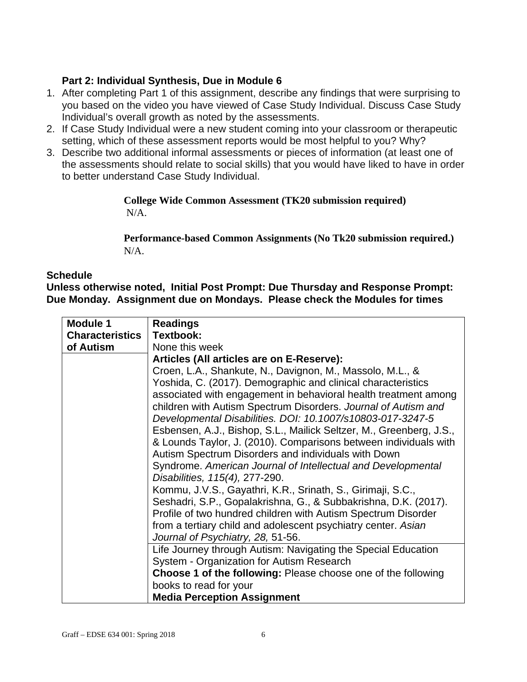## **Part 2: Individual Synthesis, Due in Module 6**

- 1. After completing Part 1 of this assignment, describe any findings that were surprising to you based on the video you have viewed of Case Study Individual. Discuss Case Study Individual's overall growth as noted by the assessments.
- 2. If Case Study Individual were a new student coming into your classroom or therapeutic setting, which of these assessment reports would be most helpful to you? Why?
- 3. Describe two additional informal assessments or pieces of information (at least one of the assessments should relate to social skills) that you would have liked to have in order to better understand Case Study Individual.

#### **College Wide Common Assessment (TK20 submission required)**  N/A.

**Performance-based Common Assignments (No Tk20 submission required.)**  N/A.

#### **Schedule**

**Unless otherwise noted, Initial Post Prompt: Due Thursday and Response Prompt: Due Monday. Assignment due on Mondays. Please check the Modules for times** 

| <b>Module 1</b>        | <b>Readings</b>                                                                                                                                                                                                                                                                                                                                                                                                                                                                                                                                                                                                                                                                                 |
|------------------------|-------------------------------------------------------------------------------------------------------------------------------------------------------------------------------------------------------------------------------------------------------------------------------------------------------------------------------------------------------------------------------------------------------------------------------------------------------------------------------------------------------------------------------------------------------------------------------------------------------------------------------------------------------------------------------------------------|
| <b>Characteristics</b> | Textbook:                                                                                                                                                                                                                                                                                                                                                                                                                                                                                                                                                                                                                                                                                       |
| of Autism              | None this week                                                                                                                                                                                                                                                                                                                                                                                                                                                                                                                                                                                                                                                                                  |
|                        | Articles (All articles are on E-Reserve):                                                                                                                                                                                                                                                                                                                                                                                                                                                                                                                                                                                                                                                       |
|                        | Croen, L.A., Shankute, N., Davignon, M., Massolo, M.L., &<br>Yoshida, C. (2017). Demographic and clinical characteristics<br>associated with engagement in behavioral health treatment among<br>children with Autism Spectrum Disorders. Journal of Autism and<br>Developmental Disabilities. DOI: 10.1007/s10803-017-3247-5<br>Esbensen, A.J., Bishop, S.L., Mailick Seltzer, M., Greenberg, J.S.,<br>& Lounds Taylor, J. (2010). Comparisons between individuals with<br>Autism Spectrum Disorders and individuals with Down<br>Syndrome. American Journal of Intellectual and Developmental<br>Disabilities, 115(4), 277-290.<br>Kommu, J.V.S., Gayathri, K.R., Srinath, S., Girimaji, S.C., |
|                        | Seshadri, S.P., Gopalakrishna, G., & Subbakrishna, D.K. (2017).<br>Profile of two hundred children with Autism Spectrum Disorder<br>from a tertiary child and adolescent psychiatry center. Asian<br>Journal of Psychiatry, 28, 51-56.                                                                                                                                                                                                                                                                                                                                                                                                                                                          |
|                        | Life Journey through Autism: Navigating the Special Education<br>System - Organization for Autism Research                                                                                                                                                                                                                                                                                                                                                                                                                                                                                                                                                                                      |
|                        | <b>Choose 1 of the following: Please choose one of the following</b>                                                                                                                                                                                                                                                                                                                                                                                                                                                                                                                                                                                                                            |
|                        | books to read for your                                                                                                                                                                                                                                                                                                                                                                                                                                                                                                                                                                                                                                                                          |
|                        | <b>Media Perception Assignment</b>                                                                                                                                                                                                                                                                                                                                                                                                                                                                                                                                                                                                                                                              |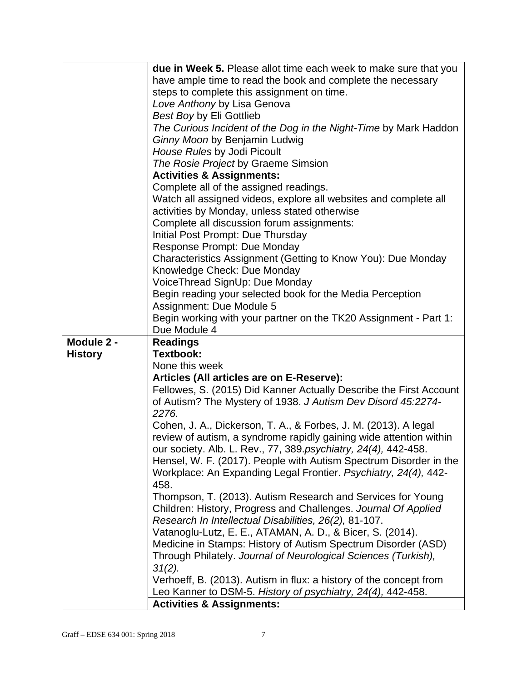|                | due in Week 5. Please allot time each week to make sure that you                                    |  |
|----------------|-----------------------------------------------------------------------------------------------------|--|
|                | have ample time to read the book and complete the necessary                                         |  |
|                | steps to complete this assignment on time.                                                          |  |
|                | Love Anthony by Lisa Genova                                                                         |  |
|                | <b>Best Boy by Eli Gottlieb</b>                                                                     |  |
|                | The Curious Incident of the Dog in the Night-Time by Mark Haddon                                    |  |
|                | Ginny Moon by Benjamin Ludwig                                                                       |  |
|                | House Rules by Jodi Picoult                                                                         |  |
|                | The Rosie Project by Graeme Simsion                                                                 |  |
|                | <b>Activities &amp; Assignments:</b>                                                                |  |
|                | Complete all of the assigned readings.                                                              |  |
|                | Watch all assigned videos, explore all websites and complete all                                    |  |
|                | activities by Monday, unless stated otherwise                                                       |  |
|                | Complete all discussion forum assignments:                                                          |  |
|                | Initial Post Prompt: Due Thursday                                                                   |  |
|                | <b>Response Prompt: Due Monday</b>                                                                  |  |
|                | Characteristics Assignment (Getting to Know You): Due Monday                                        |  |
|                | Knowledge Check: Due Monday                                                                         |  |
|                | VoiceThread SignUp: Due Monday                                                                      |  |
|                | Begin reading your selected book for the Media Perception                                           |  |
|                | Assignment: Due Module 5                                                                            |  |
|                | Begin working with your partner on the TK20 Assignment - Part 1:                                    |  |
|                | Due Module 4                                                                                        |  |
|                |                                                                                                     |  |
|                |                                                                                                     |  |
| Module 2 -     | <b>Readings</b>                                                                                     |  |
| <b>History</b> | Textbook:                                                                                           |  |
|                | None this week                                                                                      |  |
|                | Articles (All articles are on E-Reserve):                                                           |  |
|                | Fellowes, S. (2015) Did Kanner Actually Describe the First Account                                  |  |
|                | of Autism? The Mystery of 1938. J Autism Dev Disord 45:2274-                                        |  |
|                | 2276.                                                                                               |  |
|                | Cohen, J. A., Dickerson, T. A., & Forbes, J. M. (2013). A legal                                     |  |
|                | review of autism, a syndrome rapidly gaining wide attention within                                  |  |
|                | our society. Alb. L. Rev., 77, 389.psychiatry, 24(4), 442-458.                                      |  |
|                | Hensel, W. F. (2017). People with Autism Spectrum Disorder in the                                   |  |
|                | Workplace: An Expanding Legal Frontier. Psychiatry, 24(4), 442-                                     |  |
|                | 458.                                                                                                |  |
|                | Thompson, T. (2013). Autism Research and Services for Young                                         |  |
|                | Children: History, Progress and Challenges. Journal Of Applied                                      |  |
|                | Research In Intellectual Disabilities, 26(2), 81-107.                                               |  |
|                | Vatanoglu-Lutz, E. E., ATAMAN, A. D., & Bicer, S. (2014).                                           |  |
|                | Medicine in Stamps: History of Autism Spectrum Disorder (ASD)                                       |  |
|                | Through Philately. Journal of Neurological Sciences (Turkish),                                      |  |
|                | $31(2)$ .                                                                                           |  |
|                | Verhoeff, B. (2013). Autism in flux: a history of the concept from                                  |  |
|                | Leo Kanner to DSM-5. History of psychiatry, 24(4), 442-458.<br><b>Activities &amp; Assignments:</b> |  |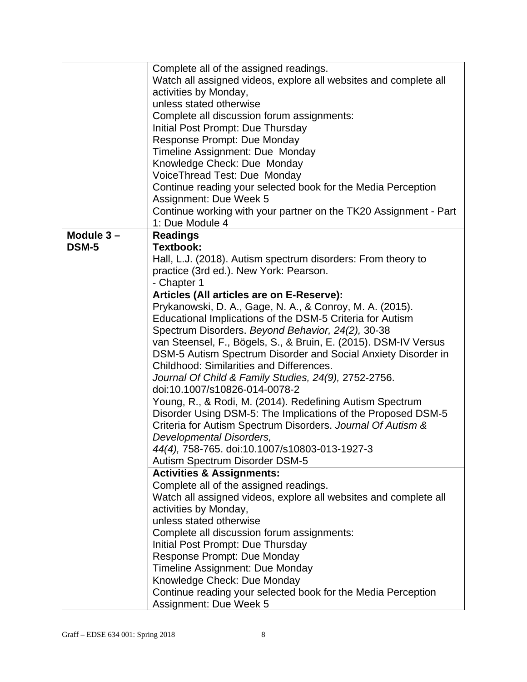|           | Complete all of the assigned readings.                           |  |
|-----------|------------------------------------------------------------------|--|
|           | Watch all assigned videos, explore all websites and complete all |  |
|           | activities by Monday,                                            |  |
|           | unless stated otherwise                                          |  |
|           | Complete all discussion forum assignments:                       |  |
|           | Initial Post Prompt: Due Thursday                                |  |
|           | Response Prompt: Due Monday                                      |  |
|           | Timeline Assignment: Due Monday                                  |  |
|           | Knowledge Check: Due Monday                                      |  |
|           | VoiceThread Test: Due Monday                                     |  |
|           | Continue reading your selected book for the Media Perception     |  |
|           | Assignment: Due Week 5                                           |  |
|           | Continue working with your partner on the TK20 Assignment - Part |  |
|           | 1: Due Module 4                                                  |  |
| Module 3- | <b>Readings</b>                                                  |  |
| DSM-5     | <b>Textbook:</b>                                                 |  |
|           | Hall, L.J. (2018). Autism spectrum disorders: From theory to     |  |
|           | practice (3rd ed.). New York: Pearson.                           |  |
|           | - Chapter 1                                                      |  |
|           | Articles (All articles are on E-Reserve):                        |  |
|           | Prykanowski, D. A., Gage, N. A., & Conroy, M. A. (2015).         |  |
|           | Educational Implications of the DSM-5 Criteria for Autism        |  |
|           | Spectrum Disorders. Beyond Behavior, 24(2), 30-38                |  |
|           | van Steensel, F., Bögels, S., & Bruin, E. (2015). DSM-IV Versus  |  |
|           | DSM-5 Autism Spectrum Disorder and Social Anxiety Disorder in    |  |
|           | Childhood: Similarities and Differences.                         |  |
|           | Journal Of Child & Family Studies, 24(9), 2752-2756.             |  |
|           | doi:10.1007/s10826-014-0078-2                                    |  |
|           |                                                                  |  |
|           | Young, R., & Rodi, M. (2014). Redefining Autism Spectrum         |  |
|           | Disorder Using DSM-5: The Implications of the Proposed DSM-5     |  |
|           | Criteria for Autism Spectrum Disorders. Journal Of Autism &      |  |
|           | Developmental Disorders,                                         |  |
|           | 44(4), 758-765. doi:10.1007/s10803-013-1927-3                    |  |
|           | Autism Spectrum Disorder DSM-5                                   |  |
|           | <b>Activities &amp; Assignments:</b>                             |  |
|           | Complete all of the assigned readings.                           |  |
|           | Watch all assigned videos, explore all websites and complete all |  |
|           | activities by Monday,                                            |  |
|           | unless stated otherwise                                          |  |
|           | Complete all discussion forum assignments:                       |  |
|           | Initial Post Prompt: Due Thursday                                |  |
|           | Response Prompt: Due Monday                                      |  |
|           | Timeline Assignment: Due Monday                                  |  |
|           | Knowledge Check: Due Monday                                      |  |
|           | Continue reading your selected book for the Media Perception     |  |
|           | Assignment: Due Week 5                                           |  |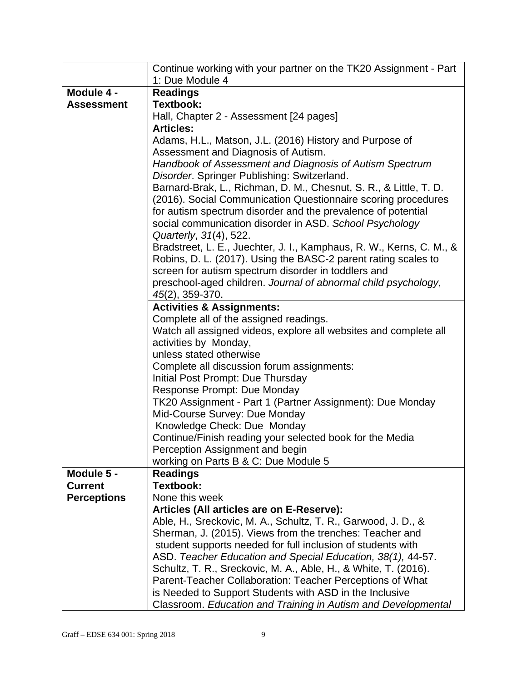| Continue working with your partner on the TK20 Assignment - Part                                           |  |
|------------------------------------------------------------------------------------------------------------|--|
| 1: Due Module 4                                                                                            |  |
| <b>Readings</b>                                                                                            |  |
| <b>Textbook:</b>                                                                                           |  |
| Hall, Chapter 2 - Assessment [24 pages]                                                                    |  |
| <b>Articles:</b>                                                                                           |  |
| Adams, H.L., Matson, J.L. (2016) History and Purpose of                                                    |  |
| Assessment and Diagnosis of Autism.                                                                        |  |
| Handbook of Assessment and Diagnosis of Autism Spectrum                                                    |  |
| Disorder. Springer Publishing: Switzerland.                                                                |  |
| Barnard-Brak, L., Richman, D. M., Chesnut, S. R., & Little, T. D.                                          |  |
| (2016). Social Communication Questionnaire scoring procedures                                              |  |
| for autism spectrum disorder and the prevalence of potential                                               |  |
| social communication disorder in ASD. School Psychology                                                    |  |
| Quarterly, 31(4), 522.                                                                                     |  |
| Bradstreet, L. E., Juechter, J. I., Kamphaus, R. W., Kerns, C. M., &                                       |  |
| Robins, D. L. (2017). Using the BASC-2 parent rating scales to                                             |  |
| screen for autism spectrum disorder in toddlers and                                                        |  |
| preschool-aged children. Journal of abnormal child psychology,                                             |  |
| 45(2), 359-370.                                                                                            |  |
| <b>Activities &amp; Assignments:</b>                                                                       |  |
| Complete all of the assigned readings.                                                                     |  |
| Watch all assigned videos, explore all websites and complete all                                           |  |
| activities by Monday,                                                                                      |  |
| unless stated otherwise                                                                                    |  |
| Complete all discussion forum assignments:                                                                 |  |
| Initial Post Prompt: Due Thursday                                                                          |  |
| Response Prompt: Due Monday                                                                                |  |
| TK20 Assignment - Part 1 (Partner Assignment): Due Monday                                                  |  |
| Mid-Course Survey: Due Monday                                                                              |  |
| Knowledge Check: Due Monday                                                                                |  |
| Continue/Finish reading your selected book for the Media                                                   |  |
| Perception Assignment and begin                                                                            |  |
| working on Parts B & C: Due Module 5                                                                       |  |
| <b>Readings</b><br><b>Textbook:</b>                                                                        |  |
|                                                                                                            |  |
| None this week                                                                                             |  |
| Articles (All articles are on E-Reserve):<br>Able, H., Sreckovic, M. A., Schultz, T. R., Garwood, J. D., & |  |
| Sherman, J. (2015). Views from the trenches: Teacher and                                                   |  |
| student supports needed for full inclusion of students with                                                |  |
| ASD. Teacher Education and Special Education, 38(1), 44-57.                                                |  |
| Schultz, T. R., Sreckovic, M. A., Able, H., & White, T. (2016).                                            |  |
| Parent-Teacher Collaboration: Teacher Perceptions of What                                                  |  |
| is Needed to Support Students with ASD in the Inclusive                                                    |  |
| Classroom. Education and Training in Autism and Developmental                                              |  |
|                                                                                                            |  |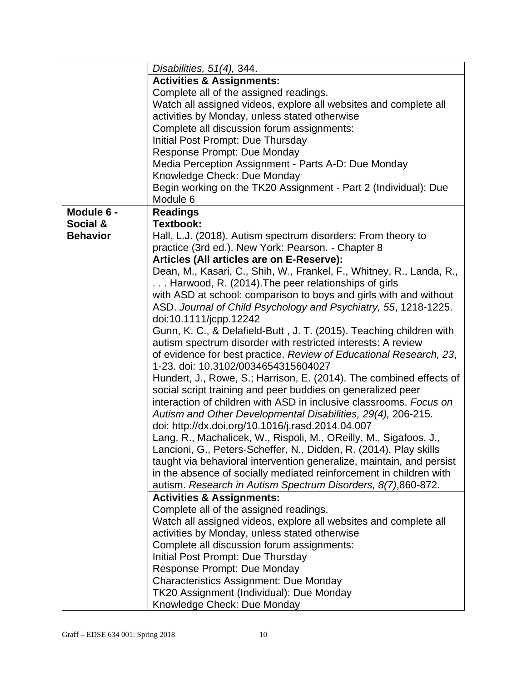|                 | Disabilities, 51(4), 344.                                            |  |
|-----------------|----------------------------------------------------------------------|--|
|                 | <b>Activities &amp; Assignments:</b>                                 |  |
|                 | Complete all of the assigned readings.                               |  |
|                 | Watch all assigned videos, explore all websites and complete all     |  |
|                 | activities by Monday, unless stated otherwise                        |  |
|                 | Complete all discussion forum assignments:                           |  |
|                 | Initial Post Prompt: Due Thursday                                    |  |
|                 | Response Prompt: Due Monday                                          |  |
|                 | Media Perception Assignment - Parts A-D: Due Monday                  |  |
|                 | Knowledge Check: Due Monday                                          |  |
|                 | Begin working on the TK20 Assignment - Part 2 (Individual): Due      |  |
|                 | Module 6                                                             |  |
| Module 6 -      | <b>Readings</b>                                                      |  |
| Social &        | <b>Textbook:</b>                                                     |  |
| <b>Behavior</b> | Hall, L.J. (2018). Autism spectrum disorders: From theory to         |  |
|                 | practice (3rd ed.). New York: Pearson. - Chapter 8                   |  |
|                 | Articles (All articles are on E-Reserve):                            |  |
|                 | Dean, M., Kasari, C., Shih, W., Frankel, F., Whitney, R., Landa, R., |  |
|                 | Harwood, R. (2014). The peer relationships of girls                  |  |
|                 | with ASD at school: comparison to boys and girls with and without    |  |
|                 | ASD. Journal of Child Psychology and Psychiatry, 55, 1218-1225.      |  |
|                 | doi:10.1111/jcpp.12242                                               |  |
|                 | Gunn, K. C., & Delafield-Butt, J. T. (2015). Teaching children with  |  |
|                 | autism spectrum disorder with restricted interests: A review         |  |
|                 | of evidence for best practice. Review of Educational Research, 23,   |  |
|                 | 1-23. doi: 10.3102/0034654315604027                                  |  |
|                 | Hundert, J., Rowe, S.; Harrison, E. (2014). The combined effects of  |  |
|                 | social script training and peer buddies on generalized peer          |  |
|                 | interaction of children with ASD in inclusive classrooms. Focus on   |  |
|                 | Autism and Other Developmental Disabilities, 29(4), 206-215.         |  |
|                 | doi: http://dx.doi.org/10.1016/j.rasd.2014.04.007                    |  |
|                 | Lang, R., Machalicek, W., Rispoli, M., OReilly, M., Sigafoos, J.,    |  |
|                 | Lancioni, G., Peters-Scheffer, N., Didden, R. (2014). Play skills    |  |
|                 | taught via behavioral intervention generalize, maintain, and persist |  |
|                 | in the absence of socially mediated reinforcement in children with   |  |
|                 | autism. Research in Autism Spectrum Disorders, 8(7), 860-872.        |  |
|                 | <b>Activities &amp; Assignments:</b>                                 |  |
|                 | Complete all of the assigned readings.                               |  |
|                 | Watch all assigned videos, explore all websites and complete all     |  |
|                 | activities by Monday, unless stated otherwise                        |  |
|                 | Complete all discussion forum assignments:                           |  |
|                 | Initial Post Prompt: Due Thursday                                    |  |
|                 | Response Prompt: Due Monday                                          |  |
|                 | <b>Characteristics Assignment: Due Monday</b>                        |  |
|                 | TK20 Assignment (Individual): Due Monday                             |  |
|                 | Knowledge Check: Due Monday                                          |  |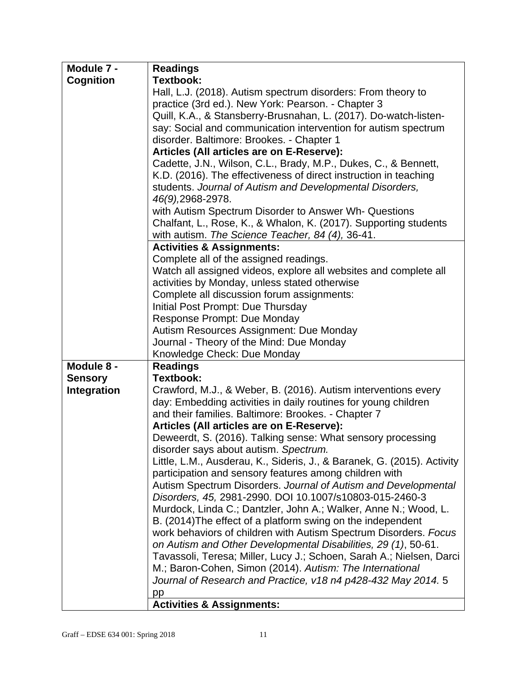| Module 7 -         | <b>Readings</b>                                                                                                                        |  |
|--------------------|----------------------------------------------------------------------------------------------------------------------------------------|--|
| <b>Cognition</b>   | <b>Textbook:</b>                                                                                                                       |  |
|                    | Hall, L.J. (2018). Autism spectrum disorders: From theory to                                                                           |  |
|                    | practice (3rd ed.). New York: Pearson. - Chapter 3                                                                                     |  |
|                    | Quill, K.A., & Stansberry-Brusnahan, L. (2017). Do-watch-listen-                                                                       |  |
|                    | say: Social and communication intervention for autism spectrum                                                                         |  |
|                    | disorder. Baltimore: Brookes. - Chapter 1                                                                                              |  |
|                    | Articles (All articles are on E-Reserve):                                                                                              |  |
|                    | Cadette, J.N., Wilson, C.L., Brady, M.P., Dukes, C., & Bennett,                                                                        |  |
|                    | K.D. (2016). The effectiveness of direct instruction in teaching                                                                       |  |
|                    | students. Journal of Autism and Developmental Disorders,                                                                               |  |
|                    | 46(9), 2968-2978.                                                                                                                      |  |
|                    | with Autism Spectrum Disorder to Answer Wh- Questions                                                                                  |  |
|                    | Chalfant, L., Rose, K., & Whalon, K. (2017). Supporting students                                                                       |  |
|                    | with autism. The Science Teacher, 84 (4), 36-41.<br><b>Activities &amp; Assignments:</b>                                               |  |
|                    |                                                                                                                                        |  |
|                    | Complete all of the assigned readings.                                                                                                 |  |
|                    | Watch all assigned videos, explore all websites and complete all<br>activities by Monday, unless stated otherwise                      |  |
|                    | Complete all discussion forum assignments:                                                                                             |  |
|                    |                                                                                                                                        |  |
|                    | Initial Post Prompt: Due Thursday<br>Response Prompt: Due Monday                                                                       |  |
|                    | Autism Resources Assignment: Due Monday                                                                                                |  |
|                    | Journal - Theory of the Mind: Due Monday                                                                                               |  |
|                    | Knowledge Check: Due Monday                                                                                                            |  |
| Module 8 -         | <b>Readings</b>                                                                                                                        |  |
| <b>Sensory</b>     | Textbook:                                                                                                                              |  |
| <b>Integration</b> | Crawford, M.J., & Weber, B. (2016). Autism interventions every                                                                         |  |
|                    | day: Embedding activities in daily routines for young children                                                                         |  |
|                    | and their families. Baltimore: Brookes. - Chapter 7                                                                                    |  |
|                    | Articles (All articles are on E-Reserve):                                                                                              |  |
|                    | Deweerdt, S. (2016). Talking sense: What sensory processing                                                                            |  |
|                    | disorder says about autism. Spectrum.                                                                                                  |  |
|                    | Little, L.M., Ausderau, K., Sideris, J., & Baranek, G. (2015). Activity                                                                |  |
|                    | participation and sensory features among children with                                                                                 |  |
|                    | Autism Spectrum Disorders. Journal of Autism and Developmental                                                                         |  |
|                    | Disorders, 45, 2981-2990. DOI 10.1007/s10803-015-2460-3                                                                                |  |
|                    | Murdock, Linda C.; Dantzler, John A.; Walker, Anne N.; Wood, L.                                                                        |  |
|                    | B. (2014) The effect of a platform swing on the independent                                                                            |  |
|                    | work behaviors of children with Autism Spectrum Disorders. Focus                                                                       |  |
|                    | on Autism and Other Developmental Disabilities, 29 (1), 50-61.<br>Tavassoli, Teresa; Miller, Lucy J.; Schoen, Sarah A.; Nielsen, Darci |  |
|                    | M.; Baron-Cohen, Simon (2014). Autism: The International                                                                               |  |
|                    | Journal of Research and Practice, v18 n4 p428-432 May 2014. 5                                                                          |  |
|                    | pp                                                                                                                                     |  |
|                    | <b>Activities &amp; Assignments:</b>                                                                                                   |  |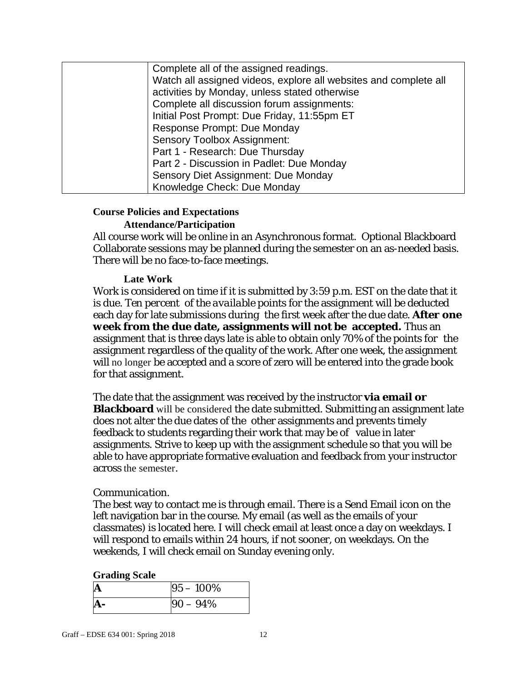| Complete all of the assigned readings.                           |
|------------------------------------------------------------------|
| Watch all assigned videos, explore all websites and complete all |
| activities by Monday, unless stated otherwise                    |
| Complete all discussion forum assignments:                       |
| Initial Post Prompt: Due Friday, 11:55pm ET                      |
| Response Prompt: Due Monday                                      |
| <b>Sensory Toolbox Assignment:</b>                               |
| Part 1 - Research: Due Thursday                                  |
| Part 2 - Discussion in Padlet: Due Monday                        |
| Sensory Diet Assignment: Due Monday                              |
| Knowledge Check: Due Monday                                      |

#### **Course Policies and Expectations**

#### **Attendance/Participation**

All course work will be online in an Asynchronous format. Optional Blackboard Collaborate sessions may be planned during the semester on an as-needed basis. There will be no face-to-face meetings.

#### **Late Work**

Work is considered on time if it is submitted by 3:59 p.m. EST on the date that it is due. *Ten percent of the available points* for the assignment will be deducted each day for late submissions during the first week after the due date. *After one week* **from the due date, assignments will not be accepted***.* Thus an assignment that is three days late is able to obtain only 70% of the points for the assignment regardless of the quality of the work. After one week, the assignment will no longer be accepted and a score of zero will be entered into the grade book for that assignment.

The date that the assignment was received by the instructor **via email or Blackboard** will be considered the date submitted. Submitting an assignment late does not alter the due dates of the other assignments and prevents timely feedback to students regarding their work that may be of value in later assignments. Strive to keep up with the assignment schedule so that you will be able to have appropriate formative evaluation and feedback from your instructor across the semester.

#### *Communication*.

The best way to contact me is through email. There is a Send Email icon on the left navigation bar in the course. My email (as well as the emails of your classmates) is located here. I will check email at least once a day on weekdays. I will respond to emails within 24 hours, if not sooner, on weekdays. On the weekends, I will check email on Sunday evening only.

#### **Grading Scale**

| A | $95 - 100\%$ |
|---|--------------|
|   | $90 - 94\%$  |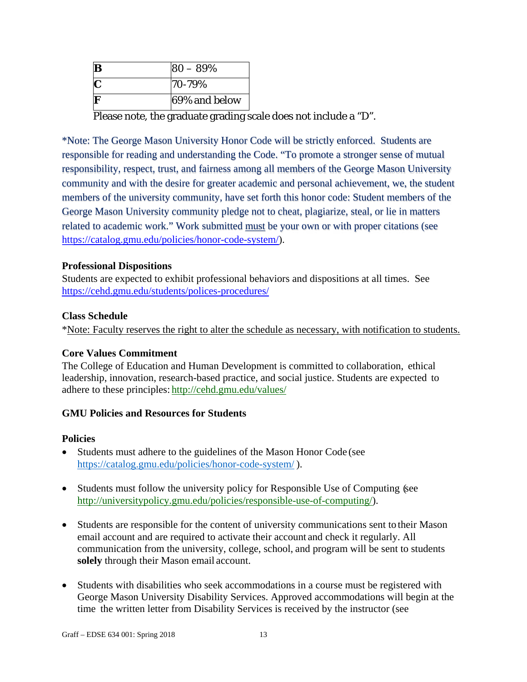| B | $80 - 89%$    |
|---|---------------|
|   | 70-79%        |
|   | 69% and below |

Please note, the graduate grading scale does not include a "D".

\*Note: The George Mason University Honor Code will be strictly enforced. Students are responsible for reading and understanding the Code. "To promote a stronger sense of mutual responsibility, respect, trust, and fairness among all members of the George Mason University community and with the desire for greater academic and personal achievement, we, the student members of the university community, have set forth this honor code: Student members of the George Mason University community pledge not to cheat, plagiarize, steal, or lie in matters related to academic work." Work submitted must be your own or with proper citations (see https://catalog.gmu.edu/policies/honor-code-system/).

#### **Professional Dispositions**

Students are expected to exhibit professional behaviors and dispositions at all times. See https://cehd.gmu.edu/students/polices-procedures/

#### **Class Schedule**

\*Note: Faculty reserves the right to alter the schedule as necessary, with notification to students.

## **Core Values Commitment**

The College of Education and Human Development is committed to collaboration, ethical leadership, innovation, research-based practice, and social justice. Students are expected to adhere to these principles: http://cehd.gmu.edu/values/

## **GMU Policies and Resources for Students**

#### **Policies**

- Students must adhere to the guidelines of the Mason Honor Code (see https://catalog.gmu.edu/policies/honor-code-system/ ).
- Students must follow the university policy for Responsible Use of Computing (see http://universitypolicy.gmu.edu/policies/responsible-use-of-computing/).
- Students are responsible for the content of university communications sent to their Mason email account and are required to activate their account and check it regularly. All communication from the university, college, school, and program will be sent to students **solely** through their Mason email account.
- Students with disabilities who seek accommodations in a course must be registered with George Mason University Disability Services. Approved accommodations will begin at the time the written letter from Disability Services is received by the instructor (see